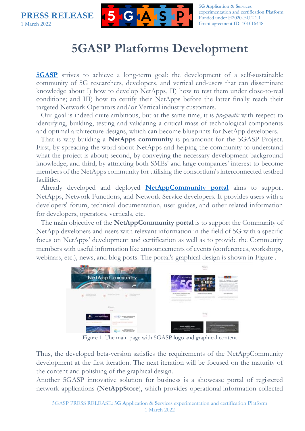**PRESS RELEASE** 1 March 2022



5**G A**pplication & **S**ervices experimentation and certification **P**latform Funded under H2020-EU.2.1.1 Grant agreement ID: 101016448

## **5GASP Platforms Development**

**[5GASP](https://5gasp.eu/)** strives to achieve a long-term goal: the development of a self-sustainable community of 5G researchers, developers, and vertical end-users that can disseminate knowledge about I) how to develop NetApps, II) how to test them under close-to-real conditions; and III) how to certify their NetApps before the latter finally reach their targeted Network Operators and/or Vertical industry customers.

Our goal is indeed quite ambitious, but at the same time, it is *pragmatic* with respect to identifying, building, testing and validating a critical mass of technological components and optimal architecture designs, which can become blueprints for NetApp developers.

That is why building a **NetApps community** is paramount for the 5GASP Project. First, by spreading the word about NetApps and helping the community to understand what the project is about; second, by conveying the necessary development background knowledge; and third, by attracting both SMEs' and large companies' interest to become members of the NetApps community for utilising the consortium's interconnected testbed facilities.

Already developed and deployed **[NetAppCommunity portal](https://community.5gasp.eu/)** aims to support NetApps, Network Functions, and Network Service developers. It provides users with a developers' forum, technical documentation, user guides, and other related information for developers, operators, verticals, etc.

The main objective of the **NetAppCommunity portal** is to support the Community of NetApp developers and users with relevant information in the field of 5G with a specific focus on NetApps' development and certification as well as to provide the Community members with useful information like announcements of events (conferences, workshops, webinars, etc.), news, and blog posts. The portal's graphical design is shown in [Figure .](#page-0-0)



Figure 1. The main page with 5GASP logo and graphical content

<span id="page-0-0"></span>Thus, the developed beta-version satisfies the requirements of the NetAppCommunity development at the first iteration. The next iteration will be focused on the maturity of the content and polishing of the graphical design.

Another 5GASP innovative solution for business is a showcase portal of registered network applications (**NetAppStore**), which provides operational information collected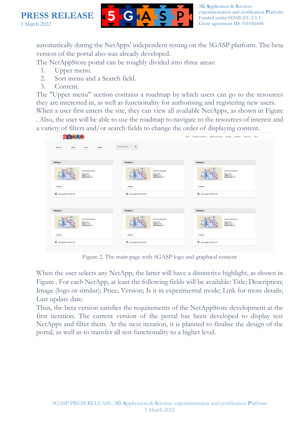



5**G A**pplication & **S**ervices experimentation and certification **P**latform Funded under H2020-EU.2.1.1 Grant agreement ID: 101016448

automatically during the NetApps' independent testing on the 5GASP platform. The beta version of the portal also was already developed.

The NetAppStore portal can be roughly divided into three areas:

- 1. Upper menu.
- 2. Sort menu and a Search field.
- 3. Content.

The "Upper menu" section contains a roadmap by which users can go to the resources they are interested in, as well as functionality for authorising and registering new users.

When a user first enters the site, they can view all available NetApps, as shown in [Figure](#page-1-0)  . Also, the user will be able to use the roadmap to navigate to the resources of interest and a variety of filters and/or search fields to change the order of displaying content.

| <b>STORA SP</b>                                                                                       |                                                                                             | About Continuation Statement - Program Will Dealth - Add Appel - Statement - Registration - Science |
|-------------------------------------------------------------------------------------------------------|---------------------------------------------------------------------------------------------|-----------------------------------------------------------------------------------------------------|
| <b>CONTRACTOR</b><br><b>Tehats</b><br>Price<br><b>Ubdates</b><br><b>Elekanta</b><br><b>STATISTICS</b> | $\alpha$<br><b>Enter som name:</b>                                                          |                                                                                                     |
| NetApp 1                                                                                              | NetApp 2                                                                                    | NetApp 3                                                                                            |
| Survey land description:<br>Price 2019<br><b>National 1.8.9</b><br><b>Dipartmental Fox</b>            | <b>Survey Seal discorpoints</b><br>Praxe 1600L<br>Nerwork 1.6.9<br><b>Equipmental</b> first | Surra last issumpture<br>Price, 1978<br>Venuie: 1.0.0<br>Depertmental from                          |
| <b>VIET TIME</b><br>Porces.                                                                           | Pointer                                                                                     | Text Electric<br>Pones                                                                              |
| □ laitspide 2019年102                                                                                  | ■ Leni undere 2019-03-03                                                                    | 西 Last update 2018-01-02                                                                            |
| NetApp 4                                                                                              | NetApp 5                                                                                    | NatApp 6                                                                                            |
| Suite ball description<br>Pone 700<br>Mariatow: 1.3.51<br><b>Constituental Fox</b>                    | Sund bod description<br>Point 1505<br>Wereless 1 0.51<br><b>Dominantel</b> Fen              | Sume has insurance.<br>Paint 16th<br><b>Variation: 1.0.0</b><br><b>Experimental Fox</b>             |
| <b>Passe</b>                                                                                          | <b>CONTRACTOR</b><br><b>Poster</b>                                                          | <b>CONTRACT</b><br><b>Panels</b>                                                                    |
|                                                                                                       |                                                                                             |                                                                                                     |

Figure 2. The main page with 5GASP logo and graphical content

<span id="page-1-0"></span>When the user selects any NetApp, the latter will have a distinctive highlight, as shown in [Figure .](#page-2-0) For each NetApp, at least the following fields will be available: Title; Description; Image (logo or similar); Price; Version; Is it in experimental mode; Link for more details; Last update date.

Thus, the beta version satisfies the requirements of the NetAppStore development at the first iteration. The current version of the portal has been developed to display test NetApps and filter them. At the next iteration, it is planned to finalise the design of the portal, as well as to transfer all test functionality to a higher level.